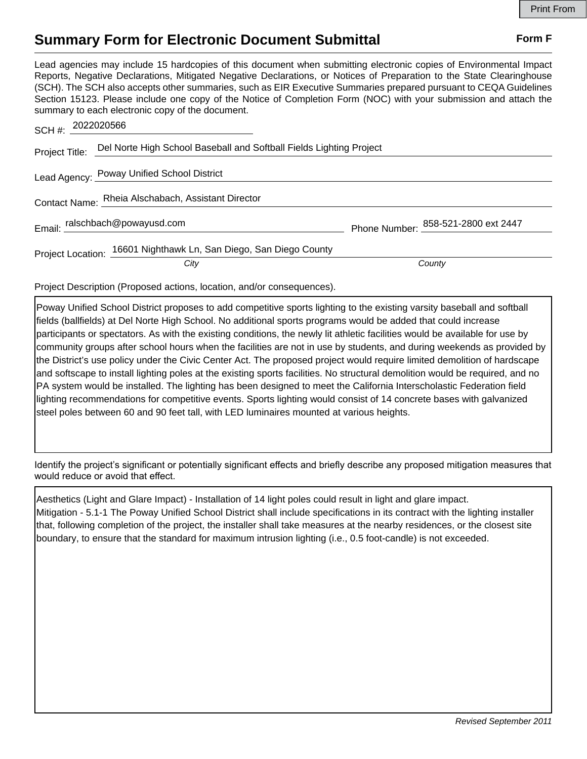## **Summary Form for Electronic Document Submittal Form F Form F**

Lead agencies may include 15 hardcopies of this document when submitting electronic copies of Environmental Impact Reports, Negative Declarations, Mitigated Negative Declarations, or Notices of Preparation to the State Clearinghouse (SCH). The SCH also accepts other summaries, such as EIR Executive Summaries prepared pursuant to CEQA Guidelines Section 15123. Please include one copy of the Notice of Completion Form (NOC) with your submission and attach the summary to each electronic copy of the document.

| SCH #: 2022020566 |                                                                     |                                     |
|-------------------|---------------------------------------------------------------------|-------------------------------------|
| Project Title:    | Del Norte High School Baseball and Softball Fields Lighting Project |                                     |
|                   | Lead Agency: Poway Unified School District                          |                                     |
|                   | Contact Name: Rheia Alschabach, Assistant Director                  |                                     |
|                   | Email: ralschbach@powayusd.com                                      | Phone Number: 858-521-2800 ext 2447 |
|                   | Project Location: 16601 Nighthawk Ln, San Diego, San Diego County   |                                     |
|                   | City                                                                | County                              |

Project Description (Proposed actions, location, and/or consequences).

Poway Unified School District proposes to add competitive sports lighting to the existing varsity baseball and softball fields (ballfields) at Del Norte High School. No additional sports programs would be added that could increase participants or spectators. As with the existing conditions, the newly lit athletic facilities would be available for use by community groups after school hours when the facilities are not in use by students, and during weekends as provided by the District's use policy under the Civic Center Act. The proposed project would require limited demolition of hardscape and softscape to install lighting poles at the existing sports facilities. No structural demolition would be required, and no PA system would be installed. The lighting has been designed to meet the California Interscholastic Federation field lighting recommendations for competitive events. Sports lighting would consist of 14 concrete bases with galvanized steel poles between 60 and 90 feet tall, with LED luminaires mounted at various heights.

Identify the project's significant or potentially significant effects and briefly describe any proposed mitigation measures that would reduce or avoid that effect.

Aesthetics (Light and Glare Impact) - Installation of 14 light poles could result in light and glare impact. Mitigation - 5.1-1 The Poway Unified School District shall include specifications in its contract with the lighting installer that, following completion of the project, the installer shall take measures at the nearby residences, or the closest site boundary, to ensure that the standard for maximum intrusion lighting (i.e., 0.5 foot-candle) is not exceeded.